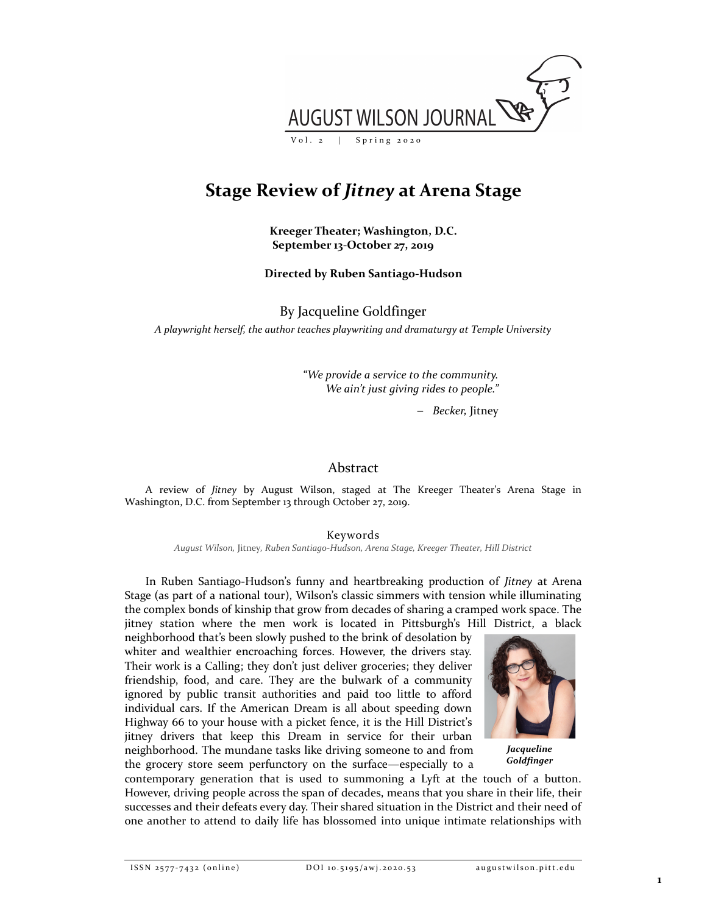

# Stage Review of Jitney at Arena Stage

Kreeger Theater; Washington, D.C. September 13-October 27, 2019

### Directed by Ruben Santiago-Hudson

By Jacqueline Goldfinger

A playwright herself, the author teaches playwriting and dramaturgy at Temple University

"We provide a service to the community. We ain't just giving rides to people."

- Becker, Jitney

## Abstract

A review of Jitney by August Wilson, staged at The Kreeger Theater's Arena Stage in Washington, D.C. from September 13 through October 27, 2019.

Keywords

August Wilson, Jitney, Ruben Santiago-Hudson, Arena Stage, Kreeger Theater, Hill District

In Ruben Santiago-Hudson's funny and heartbreaking production of Jitney at Arena Stage (as part of a national tour), Wilson's classic simmers with tension while illuminating the complex bonds of kinship that grow from decades of sharing a cramped work space. The jitney station where the men work is located in Pittsburgh's Hill District, a black

neighborhood that's been slowly pushed to the brink of desolation by whiter and wealthier encroaching forces. However, the drivers stay. Their work is a Calling; they don't just deliver groceries; they deliver friendship, food, and care. They are the bulwark of a community ignored by public transit authorities and paid too little to afford individual cars. If the American Dream is all about speeding down Highway 66 to your house with a picket fence, it is the Hill District's jitney drivers that keep this Dream in service for their urban neighborhood. The mundane tasks like driving someone to and from the grocery store seem perfunctory on the surface—especially to a



**Jacqueline** Goldfinger

contemporary generation that is used to summoning a Lyft at the touch of a button. However, driving people across the span of decades, means that you share in their life, their successes and their defeats every day. Their shared situation in the District and their need of one another to attend to daily life has blossomed into unique intimate relationships with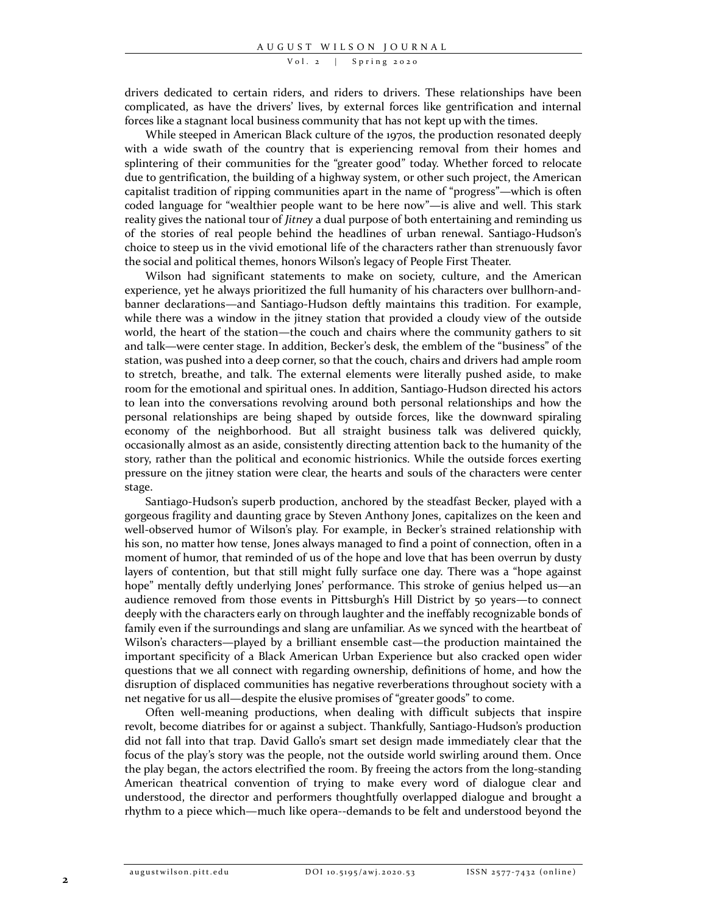#### $Vol. 2$  | Spring 2020

drivers dedicated to certain riders, and riders to drivers. These relationships have been complicated, as have the drivers' lives, by external forces like gentrification and internal forces like a stagnant local business community that has not kept up with the times.

While steeped in American Black culture of the 1970s, the production resonated deeply with a wide swath of the country that is experiencing removal from their homes and splintering of their communities for the "greater good" today. Whether forced to relocate due to gentrification, the building of a highway system, or other such project, the American capitalist tradition of ripping communities apart in the name of "progress"—which is often coded language for "wealthier people want to be here now"—is alive and well. This stark reality gives the national tour of *Jitney* a dual purpose of both entertaining and reminding us of the stories of real people behind the headlines of urban renewal. Santiago-Hudson's choice to steep us in the vivid emotional life of the characters rather than strenuously favor the social and political themes, honors Wilson's legacy of People First Theater.

Wilson had significant statements to make on society, culture, and the American experience, yet he always prioritized the full humanity of his characters over bullhorn-andbanner declarations—and Santiago-Hudson deftly maintains this tradition. For example, while there was a window in the jitney station that provided a cloudy view of the outside world, the heart of the station—the couch and chairs where the community gathers to sit and talk—were center stage. In addition, Becker's desk, the emblem of the "business" of the station, was pushed into a deep corner, so that the couch, chairs and drivers had ample room to stretch, breathe, and talk. The external elements were literally pushed aside, to make room for the emotional and spiritual ones. In addition, Santiago-Hudson directed his actors to lean into the conversations revolving around both personal relationships and how the personal relationships are being shaped by outside forces, like the downward spiraling economy of the neighborhood. But all straight business talk was delivered quickly, occasionally almost as an aside, consistently directing attention back to the humanity of the story, rather than the political and economic histrionics. While the outside forces exerting pressure on the jitney station were clear, the hearts and souls of the characters were center stage.

Santiago-Hudson's superb production, anchored by the steadfast Becker, played with a gorgeous fragility and daunting grace by Steven Anthony Jones, capitalizes on the keen and well-observed humor of Wilson's play. For example, in Becker's strained relationship with his son, no matter how tense, Jones always managed to find a point of connection, often in a moment of humor, that reminded of us of the hope and love that has been overrun by dusty layers of contention, but that still might fully surface one day. There was a "hope against hope" mentally deftly underlying Jones' performance. This stroke of genius helped us—an audience removed from those events in Pittsburgh's Hill District by 50 years—to connect deeply with the characters early on through laughter and the ineffably recognizable bonds of family even if the surroundings and slang are unfamiliar. As we synced with the heartbeat of Wilson's characters—played by a brilliant ensemble cast—the production maintained the important specificity of a Black American Urban Experience but also cracked open wider questions that we all connect with regarding ownership, definitions of home, and how the disruption of displaced communities has negative reverberations throughout society with a net negative for us all—despite the elusive promises of "greater goods" to come.

Often well-meaning productions, when dealing with difficult subjects that inspire revolt, become diatribes for or against a subject. Thankfully, Santiago-Hudson's production did not fall into that trap. David Gallo's smart set design made immediately clear that the focus of the play's story was the people, not the outside world swirling around them. Once the play began, the actors electrified the room. By freeing the actors from the long-standing American theatrical convention of trying to make every word of dialogue clear and understood, the director and performers thoughtfully overlapped dialogue and brought a rhythm to a piece which—much like opera--demands to be felt and understood beyond the